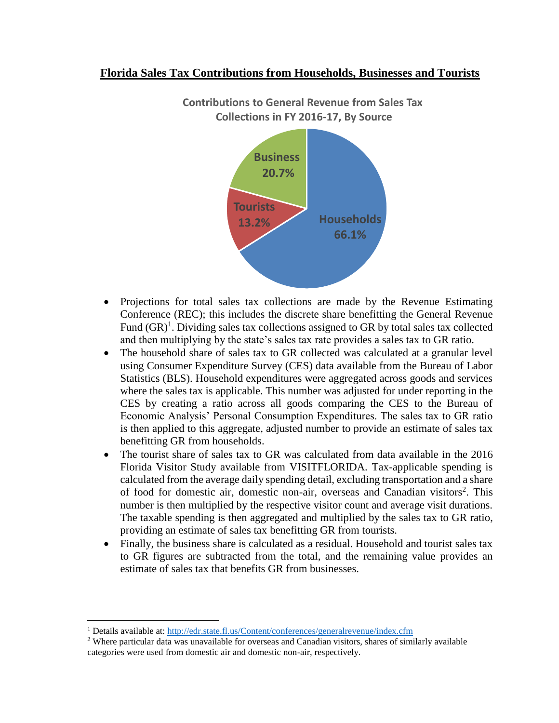## **Florida Sales Tax Contributions from Households, Businesses and Tourists**



**Contributions to General Revenue from Sales Tax Collections in FY 2016-17, By Source**

- Projections for total sales tax collections are made by the Revenue Estimating Conference (REC); this includes the discrete share benefitting the General Revenue Fund  $(GR)^1$ . Dividing sales tax collections assigned to GR by total sales tax collected and then multiplying by the state's sales tax rate provides a sales tax to GR ratio.
- The household share of sales tax to GR collected was calculated at a granular level using Consumer Expenditure Survey (CES) data available from the Bureau of Labor Statistics (BLS). Household expenditures were aggregated across goods and services where the sales tax is applicable. This number was adjusted for under reporting in the CES by creating a ratio across all goods comparing the CES to the Bureau of Economic Analysis' Personal Consumption Expenditures. The sales tax to GR ratio is then applied to this aggregate, adjusted number to provide an estimate of sales tax benefitting GR from households.
- The tourist share of sales tax to GR was calculated from data available in the 2016 Florida Visitor Study available from VISITFLORIDA. Tax-applicable spending is calculated from the average daily spending detail, excluding transportation and a share of food for domestic air, domestic non-air, overseas and Canadian visitors<sup>2</sup>. This number is then multiplied by the respective visitor count and average visit durations. The taxable spending is then aggregated and multiplied by the sales tax to GR ratio, providing an estimate of sales tax benefitting GR from tourists.
- Finally, the business share is calculated as a residual. Household and tourist sales tax to GR figures are subtracted from the total, and the remaining value provides an estimate of sales tax that benefits GR from businesses.

 $\overline{a}$ 

<sup>1</sup> Details available at:<http://edr.state.fl.us/Content/conferences/generalrevenue/index.cfm>

<sup>&</sup>lt;sup>2</sup> Where particular data was unavailable for overseas and Canadian visitors, shares of similarly available categories were used from domestic air and domestic non-air, respectively.